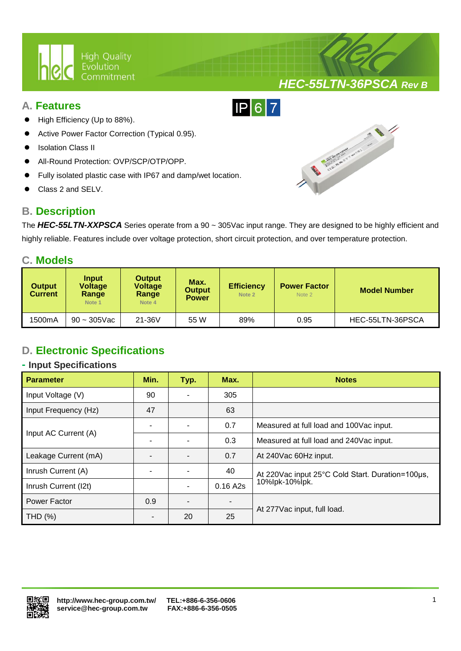

### **A. Features**

- High Efficiency (Up to 88%).
- Active Power Factor Correction (Typical 0.95).
- Isolation Class II
- All-Round Protection: OVP/SCP/OTP/OPP.
- Fully isolated plastic case with IP67 and damp/wet location.

Ι

Class 2 and SELV.

# **B. Description**



*HEC-55LTN-36PSCA Rev B*

The *HEC-55LTN-XXPSCA* Series operate from a 90 ~ 305Vac input range. They are designed to be highly efficient and highly reliable. Features include over voltage protection, short circuit protection, and over temperature protection.

 $IP67$ 

### **C. Models**

| <b>Output</b><br><b>Current</b> | <b>Input</b><br><b>Voltage</b><br>Range<br>Note 1 | <b>Output</b><br><b>Voltage</b><br>Range<br>Note 4 | Max.<br><b>Output</b><br><b>Power</b> | <b>Efficiency</b><br>Note 2 | <b>Power Factor</b><br>Note 2 | Model Number     |
|---------------------------------|---------------------------------------------------|----------------------------------------------------|---------------------------------------|-----------------------------|-------------------------------|------------------|
| 1500mA                          | $90 - 305$ Vac                                    | $21-36V$                                           | 55 W                                  | 89%                         | 0.95                          | HEC-55LTN-36PSCA |

# **D. Electronic Specifications**

#### **- Input Specifications**

| <b>Parameter</b>     | Min. | Typ. | Max.           | <b>Notes</b>                                     |  |
|----------------------|------|------|----------------|--------------------------------------------------|--|
| Input Voltage (V)    | 90   |      | 305            |                                                  |  |
| Input Frequency (Hz) | 47   |      | 63             |                                                  |  |
| Input AC Current (A) |      |      | 0.7            | Measured at full load and 100 Vac input.         |  |
|                      |      |      | 0.3            | Measured at full load and 240Vac input.          |  |
| Leakage Current (mA) |      |      | 0.7            | At 240Vac 60Hz input.                            |  |
| Inrush Current (A)   |      |      | 40             | At 220Vac input 25°C Cold Start. Duration=100µs, |  |
| Inrush Current (I2t) |      |      | 0.16 A2s       | 10%lpk-10%lpk.                                   |  |
| Power Factor         | 0.9  |      | $\blacksquare$ |                                                  |  |
| THD (%)              |      | 20   | 25             | At 277 Vac input, full load.                     |  |

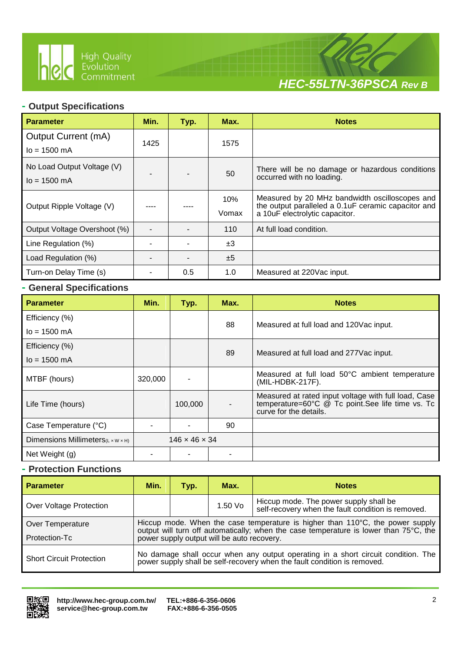

Ι



### **- Output Specifications**

| <b>Parameter</b>                                      | Min. | Typ. | Max.         | <b>Notes</b>                                                                                                                             |
|-------------------------------------------------------|------|------|--------------|------------------------------------------------------------------------------------------------------------------------------------------|
| <b>Output Current (mA)</b><br>$I_0 = 1500 \text{ mA}$ | 1425 |      | 1575         |                                                                                                                                          |
| No Load Output Voltage (V)<br>$I_0$ = 1500 mA         |      |      | 50           | There will be no damage or hazardous conditions<br>occurred with no loading.                                                             |
| Output Ripple Voltage (V)                             |      |      | 10%<br>Vomax | Measured by 20 MHz bandwidth oscilloscopes and<br>the output paralleled a 0.1 uF ceramic capacitor and<br>a 10uF electrolytic capacitor. |
| Output Voltage Overshoot (%)                          |      |      | 110          | At full load condition.                                                                                                                  |
| Line Regulation (%)                                   |      |      | ±3           |                                                                                                                                          |
| Load Regulation (%)                                   |      |      | ±5           |                                                                                                                                          |
| Turn-on Delay Time (s)                                |      | 0.5  | 1.0          | Measured at 220Vac input.                                                                                                                |

### **- General Specifications**

| <b>Parameter</b>                               | Min.    | Typ.                      | Max. | <b>Notes</b>                                                                                                                       |  |
|------------------------------------------------|---------|---------------------------|------|------------------------------------------------------------------------------------------------------------------------------------|--|
| Efficiency (%)                                 |         |                           | 88   | Measured at full load and 120Vac input.                                                                                            |  |
| $I_0 = 1500 \text{ mA}$                        |         |                           |      |                                                                                                                                    |  |
| Efficiency (%)                                 |         |                           |      |                                                                                                                                    |  |
| $I_0 = 1500 \text{ mA}$                        |         |                           | 89   | Measured at full load and 277 Vac input.                                                                                           |  |
| MTBF (hours)                                   | 320,000 |                           |      | Measured at full load 50°C ambient temperature<br>(MIL-HDBK-217F).                                                                 |  |
| Life Time (hours)                              |         | 100,000                   |      | Measured at rated input voltage with full load, Case<br>temperature=60°C @ Tc point.See life time vs. Tc<br>curve for the details. |  |
| Case Temperature (°C)                          |         |                           | 90   |                                                                                                                                    |  |
| Dimensions Millimeters $(L \times W \times H)$ |         | $146 \times 46 \times 34$ |      |                                                                                                                                    |  |
| Net Weight (g)                                 |         |                           |      |                                                                                                                                    |  |

### **- Protection Functions**

| <b>Parameter</b>                  | Min.                                                                                                                                                                                                                           | Typ. | Max.      | <b>Notes</b>                                                                                 |  |
|-----------------------------------|--------------------------------------------------------------------------------------------------------------------------------------------------------------------------------------------------------------------------------|------|-----------|----------------------------------------------------------------------------------------------|--|
| Over Voltage Protection           |                                                                                                                                                                                                                                |      | $1.50$ Vo | Hiccup mode. The power supply shall be<br>self-recovery when the fault condition is removed. |  |
| Over Temperature<br>Protection-Tc | Hiccup mode. When the case temperature is higher than $110^{\circ}$ C, the power supply<br>output will turn off automatically; when the case temperature is lower than 75°C, the<br>power supply output will be auto recovery. |      |           |                                                                                              |  |
| <b>Short Circuit Protection</b>   | No damage shall occur when any output operating in a short circuit condition. The<br>power supply shall be self-recovery when the fault condition is removed.                                                                  |      |           |                                                                                              |  |

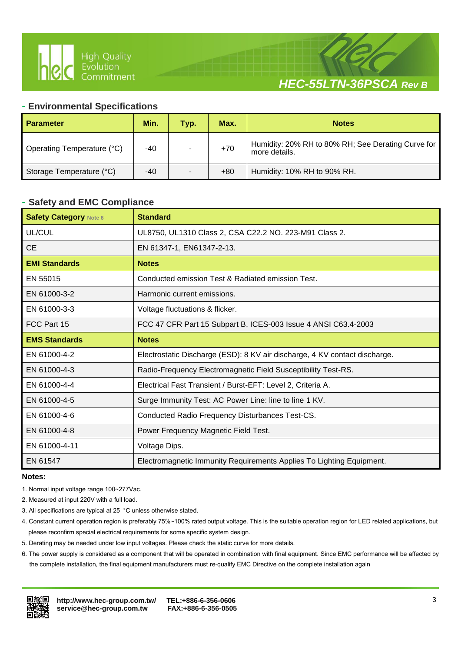

# *HEC-55LTN-36PSCA Rev B*

#### **- Environmental Specifications**

Ι

| <b>Parameter</b>           | Min. | Typ. | Max.  | <b>Notes</b>                                                        |
|----------------------------|------|------|-------|---------------------------------------------------------------------|
| Operating Temperature (°C) | -40  |      | $+70$ | Humidity: 20% RH to 80% RH; See Derating Curve for<br>more details. |
| Storage Temperature (°C)   | -40  |      | $+80$ | Humidity: 10% RH to 90% RH.                                         |

#### **- Safety and EMC Compliance**

| <b>Safety Category Note 6</b> | <b>Standard</b>                                                            |
|-------------------------------|----------------------------------------------------------------------------|
| UL/CUL                        | UL8750, UL1310 Class 2, CSA C22.2 NO. 223-M91 Class 2.                     |
| <b>CE</b>                     | EN 61347-1, EN61347-2-13.                                                  |
| <b>EMI Standards</b>          | <b>Notes</b>                                                               |
| EN 55015                      | Conducted emission Test & Radiated emission Test.                          |
| EN 61000-3-2                  | Harmonic current emissions.                                                |
| EN 61000-3-3                  | Voltage fluctuations & flicker.                                            |
| FCC Part 15                   | FCC 47 CFR Part 15 Subpart B, ICES-003 Issue 4 ANSI C63.4-2003             |
| <b>EMS Standards</b>          | <b>Notes</b>                                                               |
| EN 61000-4-2                  | Electrostatic Discharge (ESD): 8 KV air discharge, 4 KV contact discharge. |
| EN 61000-4-3                  | Radio-Frequency Electromagnetic Field Susceptibility Test-RS.              |
| EN 61000-4-4                  | Electrical Fast Transient / Burst-EFT: Level 2, Criteria A.                |
| EN 61000-4-5                  | Surge Immunity Test: AC Power Line: line to line 1 KV.                     |
| EN 61000-4-6                  | Conducted Radio Frequency Disturbances Test-CS.                            |
| EN 61000-4-8                  | Power Frequency Magnetic Field Test.                                       |
| EN 61000-4-11                 | Voltage Dips.                                                              |
| EN 61547                      | Electromagnetic Immunity Requirements Applies To Lighting Equipment.       |

#### **Notes:**

- 1. Normal input voltage range 100~277Vac.
- 2. Measured at input 220V with a full load.
- 3. All specifications are typical at 25 °C unless otherwise stated.
- 4. Constant current operation region is preferably 75%~100% rated output voltage. This is the suitable operation region for LED related applications, but please reconfirm special electrical requirements for some specific system design.
- 5. Derating may be needed under low input voltages. Please check the static curve for more details.
- 6. The power supply is considered as a component that will be operated in combination with final equipment. Since EMC performance will be affected by the complete installation, the final equipment manufacturers must re-qualify EMC Directive on the complete installation again

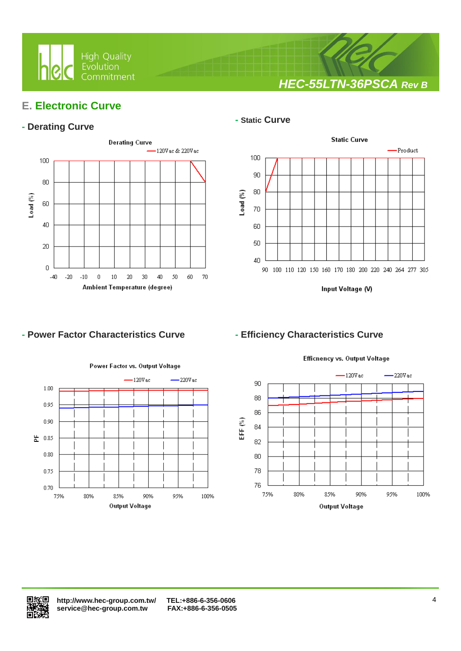

*HEC-55LTN-36PSCA Rev B*

# **E. Electronic Curve**

### **- Derating Curve**



Ι

#### **- Static Curve**



Input Voltage (V)

### **- Power Factor Characteristics Curve - Efficiency Characteristics Curve**



### Efficnency vs. Output Voltage

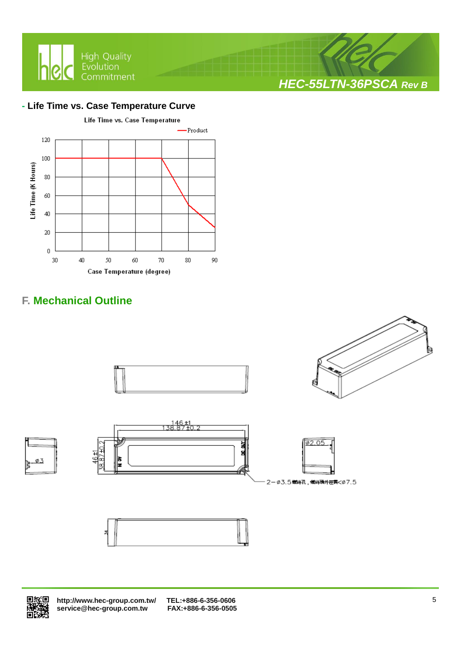

### **- Life Time vs. Case Temperature Curve**

Ι



# **F. Mechanical Outline**





 **<http://www.hec-group.com.tw/>[TEL:+886-6-356-0606](tel:+886-6-356-0606)**   $\overline{\text{service@hec}}$ -group.com.tw

*HEC-55LTN-36PSCA Rev B*